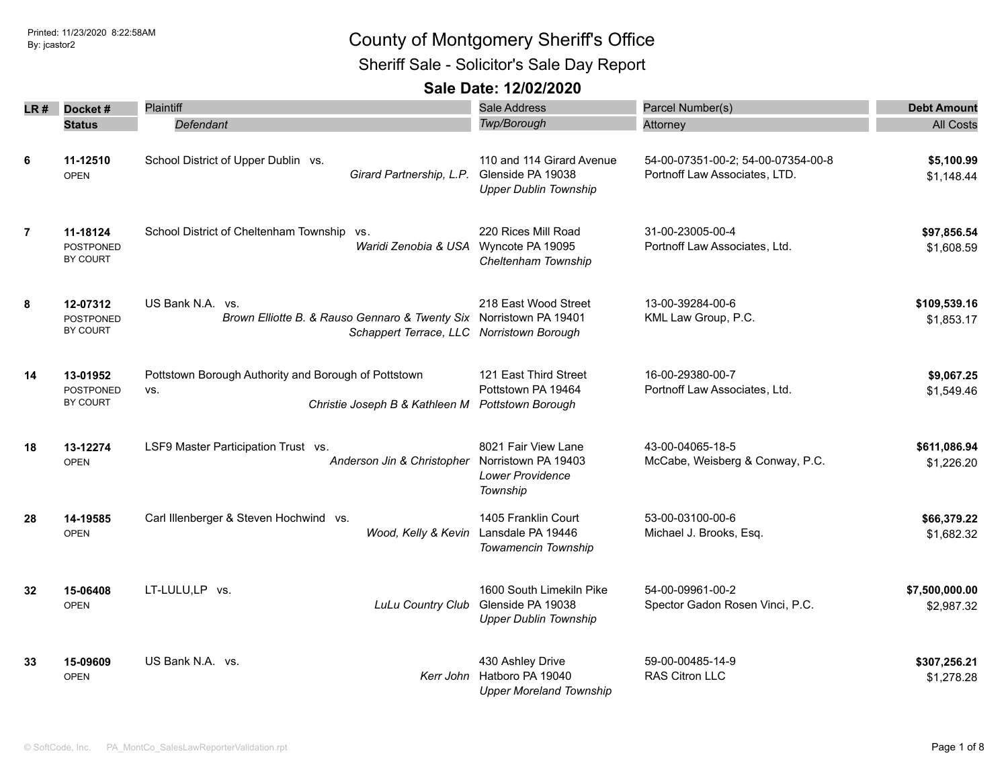Sheriff Sale - Solicitor's Sale Day Report

| LR #           | Docket#                                  | Plaintiff                                                                                                                           | <b>Sale Address</b>                                                                 | Parcel Number(s)                                                    | <b>Debt Amount</b>           |
|----------------|------------------------------------------|-------------------------------------------------------------------------------------------------------------------------------------|-------------------------------------------------------------------------------------|---------------------------------------------------------------------|------------------------------|
|                | <b>Status</b>                            | Defendant                                                                                                                           | Twp/Borough                                                                         | Attorney                                                            | <b>All Costs</b>             |
| 6              | 11-12510<br><b>OPEN</b>                  | School District of Upper Dublin vs.<br>Girard Partnership, L.P.                                                                     | 110 and 114 Girard Avenue<br>Glenside PA 19038<br><b>Upper Dublin Township</b>      | 54-00-07351-00-2; 54-00-07354-00-8<br>Portnoff Law Associates, LTD. | \$5,100.99<br>\$1,148.44     |
| $\overline{7}$ | 11-18124<br><b>POSTPONED</b><br>BY COURT | School District of Cheltenham Township vs.<br>Waridi Zenobia & USA Wyncote PA 19095                                                 | 220 Rices Mill Road<br>Cheltenham Township                                          | 31-00-23005-00-4<br>Portnoff Law Associates, Ltd.                   | \$97,856.54<br>\$1,608.59    |
| 8              | 12-07312<br><b>POSTPONED</b><br>BY COURT | US Bank N.A. vs.<br>Brown Elliotte B. & Rauso Gennaro & Twenty Six Norristown PA 19401<br>Schappert Terrace, LLC Norristown Borough | 218 East Wood Street                                                                | 13-00-39284-00-6<br>KML Law Group, P.C.                             | \$109,539.16<br>\$1,853.17   |
| 14             | 13-01952<br><b>POSTPONED</b><br>BY COURT | Pottstown Borough Authority and Borough of Pottstown<br>VS.<br>Christie Joseph B & Kathleen M                                       | 121 East Third Street<br>Pottstown PA 19464<br><b>Pottstown Borough</b>             | 16-00-29380-00-7<br>Portnoff Law Associates, Ltd.                   | \$9,067.25<br>\$1,549.46     |
| 18             | 13-12274<br><b>OPEN</b>                  | LSF9 Master Participation Trust vs.<br>Anderson Jin & Christopher                                                                   | 8021 Fair View Lane<br>Norristown PA 19403<br><b>Lower Providence</b><br>Township   | 43-00-04065-18-5<br>McCabe, Weisberg & Conway, P.C.                 | \$611,086.94<br>\$1,226.20   |
| 28             | 14-19585<br><b>OPEN</b>                  | Carl Illenberger & Steven Hochwind vs.                                                                                              | 1405 Franklin Court<br>Wood, Kelly & Kevin Lansdale PA 19446<br>Towamencin Township | 53-00-03100-00-6<br>Michael J. Brooks, Esq.                         | \$66,379.22<br>\$1,682.32    |
| 32             | 15-06408<br><b>OPEN</b>                  | LT-LULU,LP vs.<br>LuLu Country Club                                                                                                 | 1600 South Limekiln Pike<br>Glenside PA 19038<br><b>Upper Dublin Township</b>       | 54-00-09961-00-2<br>Spector Gadon Rosen Vinci, P.C.                 | \$7,500,000.00<br>\$2,987.32 |
| 33             | 15-09609<br><b>OPEN</b>                  | US Bank N.A. vs.                                                                                                                    | 430 Ashley Drive<br>Kerr John Hatboro PA 19040<br><b>Upper Moreland Township</b>    | 59-00-00485-14-9<br><b>RAS Citron LLC</b>                           | \$307,256.21<br>\$1,278.28   |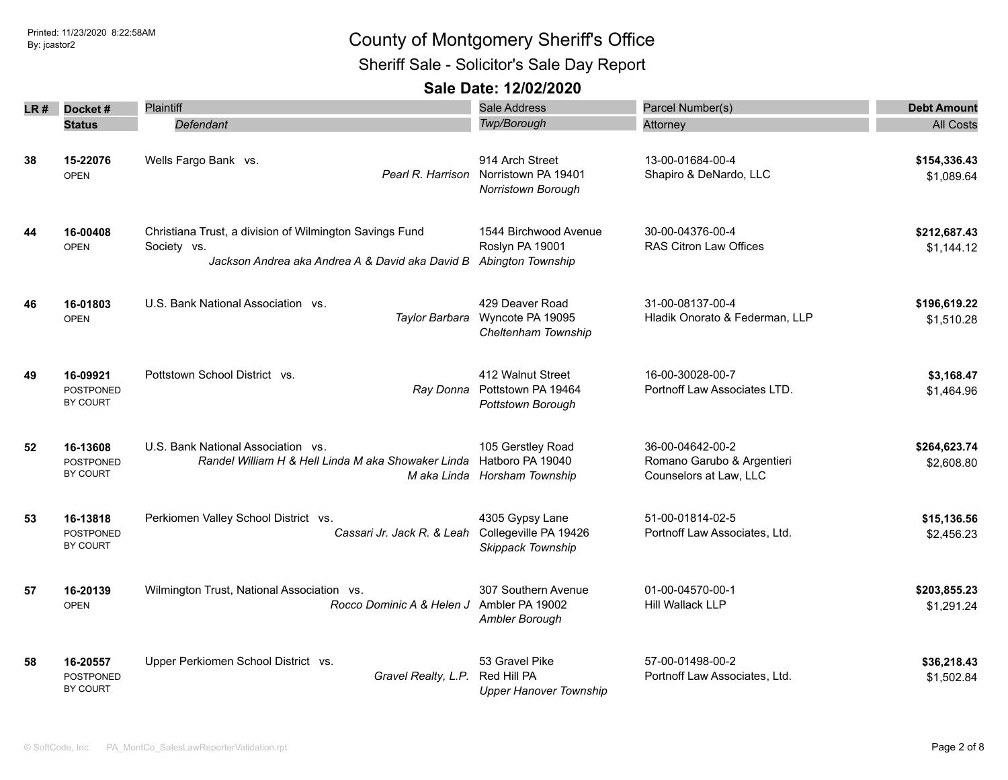Sheriff Sale - Solicitor's Sale Day Report

| LR # | Docket#                                         | <b>Plaintiff</b>                                                                                                          | Sale Address                                                          | Parcel Number(s)                                                         | <b>Debt Amount</b>         |
|------|-------------------------------------------------|---------------------------------------------------------------------------------------------------------------------------|-----------------------------------------------------------------------|--------------------------------------------------------------------------|----------------------------|
|      | <b>Status</b>                                   | Defendant                                                                                                                 | Twp/Borough                                                           | Attorney                                                                 | <b>All Costs</b>           |
| 38   | 15-22076<br><b>OPEN</b>                         | Wells Fargo Bank vs.<br>Pearl R. Harrison                                                                                 | 914 Arch Street<br>Norristown PA 19401<br>Norristown Borough          | 13-00-01684-00-4<br>Shapiro & DeNardo, LLC                               | \$154,336.43<br>\$1,089.64 |
| 44   | 16-00408<br><b>OPEN</b>                         | Christiana Trust, a division of Wilmington Savings Fund<br>Society vs.<br>Jackson Andrea aka Andrea A & David aka David B | 1544 Birchwood Avenue<br>Roslyn PA 19001<br>Abington Township         | 30-00-04376-00-4<br>RAS Citron Law Offices                               | \$212,687.43<br>\$1,144.12 |
| 46   | 16-01803<br><b>OPEN</b>                         | U.S. Bank National Association vs.<br>Taylor Barbara                                                                      | 429 Deaver Road<br>Wyncote PA 19095<br>Cheltenham Township            | 31-00-08137-00-4<br>Hladik Onorato & Federman, LLP                       | \$196,619.22<br>\$1,510.28 |
| 49   | 16-09921<br><b>POSTPONED</b><br><b>BY COURT</b> | Pottstown School District vs.<br>Ray Donna                                                                                | 412 Walnut Street<br>Pottstown PA 19464<br>Pottstown Borough          | 16-00-30028-00-7<br>Portnoff Law Associates LTD.                         | \$3,168.47<br>\$1,464.96   |
| 52   | 16-13608<br><b>POSTPONED</b><br>BY COURT        | U.S. Bank National Association vs.<br>Randel William H & Hell Linda M aka Showaker Linda                                  | 105 Gerstley Road<br>Hatboro PA 19040<br>M aka Linda Horsham Township | 36-00-04642-00-2<br>Romano Garubo & Argentieri<br>Counselors at Law, LLC | \$264,623.74<br>\$2,608.80 |
| 53   | 16-13818<br><b>POSTPONED</b><br>BY COURT        | Perkiomen Valley School District vs.<br>Cassari Jr. Jack R. & Leah                                                        | 4305 Gypsy Lane<br>Collegeville PA 19426<br>Skippack Township         | 51-00-01814-02-5<br>Portnoff Law Associates, Ltd.                        | \$15,136.56<br>\$2,456.23  |
| 57   | 16-20139<br><b>OPEN</b>                         | Wilmington Trust, National Association vs.<br>Rocco Dominic A & Helen J                                                   | 307 Southern Avenue<br>Ambler PA 19002<br>Ambler Borough              | 01-00-04570-00-1<br>Hill Wallack LLP                                     | \$203,855.23<br>\$1,291.24 |
| 58   | 16-20557<br><b>POSTPONED</b><br>BY COURT        | Upper Perkiomen School District vs.<br>Gravel Realty, L.P.                                                                | 53 Gravel Pike<br>Red Hill PA<br><b>Upper Hanover Township</b>        | 57-00-01498-00-2<br>Portnoff Law Associates, Ltd.                        | \$36,218.43<br>\$1,502.84  |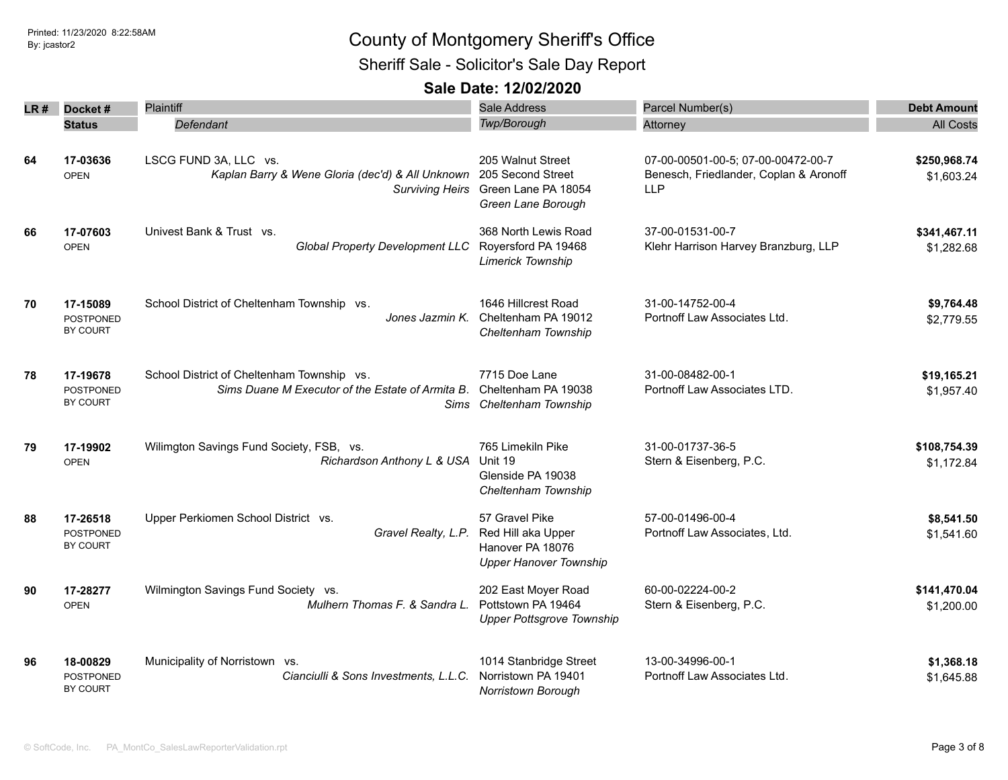Sheriff Sale - Solicitor's Sale Day Report

|    | LR# Docket#                              | Plaintiff                                                                                           | Sale Address                                                                              | Parcel Number(s)                                                                           | <b>Debt Amount</b>         |
|----|------------------------------------------|-----------------------------------------------------------------------------------------------------|-------------------------------------------------------------------------------------------|--------------------------------------------------------------------------------------------|----------------------------|
|    | <b>Status</b>                            | <b>Defendant</b>                                                                                    | Twp/Borough                                                                               | Attorney                                                                                   | <b>All Costs</b>           |
| 64 | 17-03636<br><b>OPEN</b>                  | LSCG FUND 3A, LLC vs.<br>Kaplan Barry & Wene Gloria (dec'd) & All Unknown<br><b>Surviving Heirs</b> | 205 Walnut Street<br>205 Second Street<br>Green Lane PA 18054<br>Green Lane Borough       | 07-00-00501-00-5; 07-00-00472-00-7<br>Benesch, Friedlander, Coplan & Aronoff<br><b>LLP</b> | \$250,968.74<br>\$1,603.24 |
| 66 | 17-07603<br><b>OPEN</b>                  | Univest Bank & Trust vs.<br><b>Global Property Development LLC</b>                                  | 368 North Lewis Road<br>Royersford PA 19468<br>Limerick Township                          | 37-00-01531-00-7<br>Klehr Harrison Harvey Branzburg, LLP                                   | \$341,467.11<br>\$1,282.68 |
| 70 | 17-15089<br><b>POSTPONED</b><br>BY COURT | School District of Cheltenham Township vs.<br>Jones Jazmin K.                                       | 1646 Hillcrest Road<br>Cheltenham PA 19012<br>Cheltenham Township                         | 31-00-14752-00-4<br>Portnoff Law Associates Ltd.                                           | \$9,764.48<br>\$2,779.55   |
| 78 | 17-19678<br><b>POSTPONED</b><br>BY COURT | School District of Cheltenham Township vs.<br>Sims Duane M Executor of the Estate of Armita B.      | 7715 Doe Lane<br>Cheltenham PA 19038<br>Sims Cheltenham Township                          | 31-00-08482-00-1<br>Portnoff Law Associates LTD.                                           | \$19,165.21<br>\$1,957.40  |
| 79 | 17-19902<br><b>OPEN</b>                  | Wilimgton Savings Fund Society, FSB, vs.<br>Richardson Anthony L & USA                              | 765 Limekiln Pike<br>Unit 19<br>Glenside PA 19038<br>Cheltenham Township                  | 31-00-01737-36-5<br>Stern & Eisenberg, P.C.                                                | \$108,754.39<br>\$1,172.84 |
| 88 | 17-26518<br><b>POSTPONED</b><br>BY COURT | Upper Perkiomen School District vs.<br>Gravel Realty, L.P.                                          | 57 Gravel Pike<br>Red Hill aka Upper<br>Hanover PA 18076<br><b>Upper Hanover Township</b> | 57-00-01496-00-4<br>Portnoff Law Associates, Ltd.                                          | \$8,541.50<br>\$1,541.60   |
| 90 | 17-28277<br><b>OPEN</b>                  | Wilmington Savings Fund Society vs.<br>Mulhern Thomas F. & Sandra L.                                | 202 East Moyer Road<br>Pottstown PA 19464<br><b>Upper Pottsgrove Township</b>             | 60-00-02224-00-2<br>Stern & Eisenberg, P.C.                                                | \$141,470.04<br>\$1,200.00 |
| 96 | 18-00829<br><b>POSTPONED</b><br>BY COURT | Municipality of Norristown vs.<br>Cianciulli & Sons Investments, L.L.C.                             | 1014 Stanbridge Street<br>Norristown PA 19401<br>Norristown Borough                       | 13-00-34996-00-1<br>Portnoff Law Associates Ltd.                                           | \$1,368.18<br>\$1,645.88   |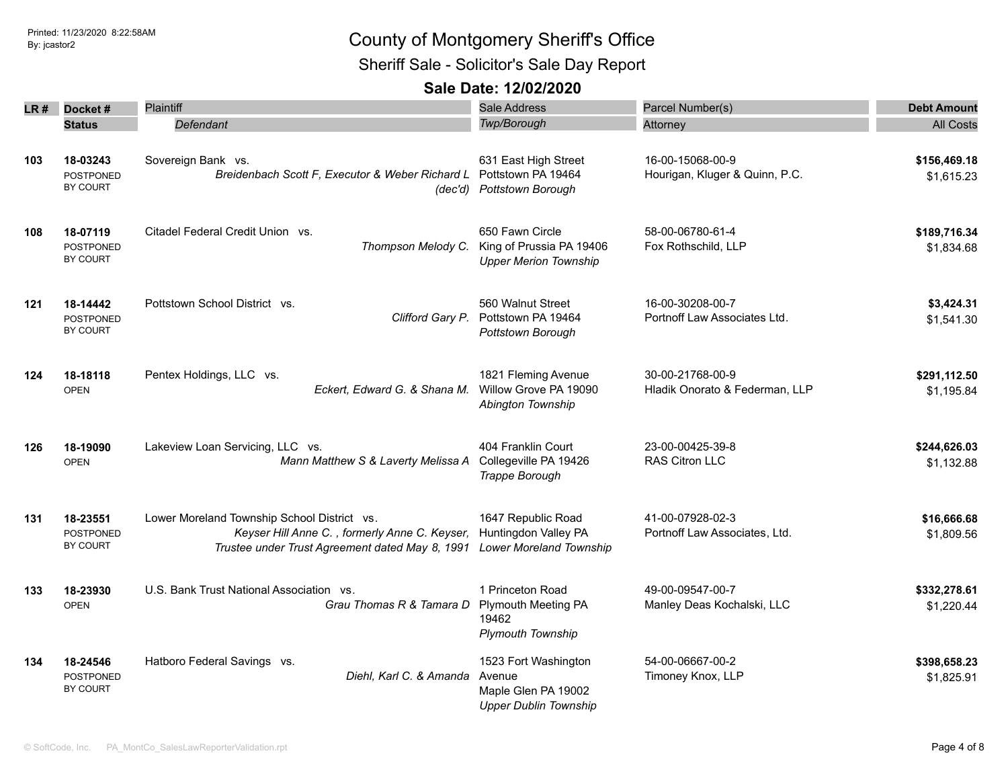Sheriff Sale - Solicitor's Sale Day Report

| LR # | Docket#                                  | Plaintiff                                                                                                                                       | Sale Address                                                                          | Parcel Number(s)                                   | <b>Debt Amount</b>         |
|------|------------------------------------------|-------------------------------------------------------------------------------------------------------------------------------------------------|---------------------------------------------------------------------------------------|----------------------------------------------------|----------------------------|
|      | <b>Status</b>                            | Defendant                                                                                                                                       | <b>Twp/Borough</b>                                                                    | Attorney                                           | <b>All Costs</b>           |
| 103  | 18-03243<br><b>POSTPONED</b><br>BY COURT | Sovereign Bank vs.<br>Breidenbach Scott F, Executor & Weber Richard L<br>(dec'd)                                                                | 631 East High Street<br>Pottstown PA 19464<br>Pottstown Borough                       | 16-00-15068-00-9<br>Hourigan, Kluger & Quinn, P.C. | \$156,469.18<br>\$1,615.23 |
| 108  | 18-07119<br><b>POSTPONED</b><br>BY COURT | Citadel Federal Credit Union vs.<br>Thompson Melody C.                                                                                          | 650 Fawn Circle<br>King of Prussia PA 19406<br><b>Upper Merion Township</b>           | 58-00-06780-61-4<br>Fox Rothschild, LLP            | \$189,716.34<br>\$1,834.68 |
| 121  | 18-14442<br><b>POSTPONED</b><br>BY COURT | Pottstown School District vs.<br>Clifford Gary P.                                                                                               | 560 Walnut Street<br>Pottstown PA 19464<br>Pottstown Borough                          | 16-00-30208-00-7<br>Portnoff Law Associates Ltd.   | \$3,424.31<br>\$1,541.30   |
| 124  | 18-18118<br><b>OPEN</b>                  | Pentex Holdings, LLC vs.<br>Eckert, Edward G. & Shana M.                                                                                        | 1821 Fleming Avenue<br>Willow Grove PA 19090<br>Abington Township                     | 30-00-21768-00-9<br>Hladik Onorato & Federman, LLP | \$291,112.50<br>\$1.195.84 |
| 126  | 18-19090<br><b>OPEN</b>                  | Lakeview Loan Servicing, LLC vs.<br>Mann Matthew S & Laverty Melissa A                                                                          | 404 Franklin Court<br>Collegeville PA 19426<br>Trappe Borough                         | 23-00-00425-39-8<br>RAS Citron LLC                 | \$244,626.03<br>\$1,132.88 |
| 131  | 18-23551<br><b>POSTPONED</b><br>BY COURT | Lower Moreland Township School District vs.<br>Keyser Hill Anne C., formerly Anne C. Keyser,<br>Trustee under Trust Agreement dated May 8, 1991 | 1647 Republic Road<br>Huntingdon Valley PA<br><b>Lower Moreland Township</b>          | 41-00-07928-02-3<br>Portnoff Law Associates, Ltd.  | \$16,666.68<br>\$1,809.56  |
| 133  | 18-23930<br><b>OPEN</b>                  | U.S. Bank Trust National Association vs.<br>Grau Thomas R & Tamara D                                                                            | 1 Princeton Road<br><b>Plymouth Meeting PA</b><br>19462<br><b>Plymouth Township</b>   | 49-00-09547-00-7<br>Manley Deas Kochalski, LLC     | \$332,278.61<br>\$1,220.44 |
| 134  | 18-24546<br>POSTPONED<br><b>BY COURT</b> | Hatboro Federal Savings vs.<br>Diehl, Karl C. & Amanda                                                                                          | 1523 Fort Washington<br>Avenue<br>Maple Glen PA 19002<br><b>Upper Dublin Township</b> | 54-00-06667-00-2<br>Timoney Knox, LLP              | \$398,658.23<br>\$1,825.91 |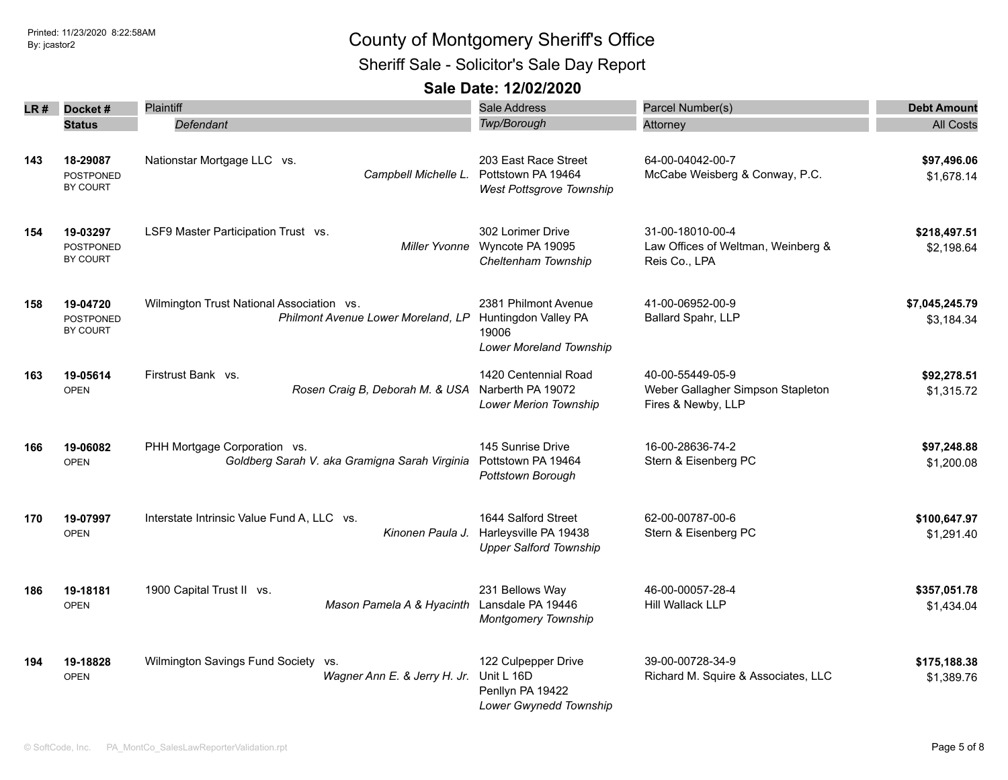Sheriff Sale - Solicitor's Sale Day Report

| LR # | Docket#<br><b>Status</b>                 | <b>Plaintiff</b><br>Defendant                                                   |               | Sale Address<br>Twp/Borough                                                      | Parcel Number(s)<br>Attorney                                                | <b>Debt Amount</b><br><b>All Costs</b> |
|------|------------------------------------------|---------------------------------------------------------------------------------|---------------|----------------------------------------------------------------------------------|-----------------------------------------------------------------------------|----------------------------------------|
| 143  | 18-29087<br><b>POSTPONED</b><br>BY COURT | Nationstar Mortgage LLC vs.<br>Campbell Michelle L.                             |               | 203 East Race Street<br>Pottstown PA 19464<br>West Pottsgrove Township           | 64-00-04042-00-7<br>McCabe Weisberg & Conway, P.C.                          | \$97,496.06<br>\$1,678.14              |
| 154  | 19-03297<br><b>POSTPONED</b><br>BY COURT | LSF9 Master Participation Trust vs.                                             | Miller Yvonne | 302 Lorimer Drive<br>Wyncote PA 19095<br>Cheltenham Township                     | 31-00-18010-00-4<br>Law Offices of Weltman, Weinberg &<br>Reis Co., LPA     | \$218,497.51<br>\$2,198.64             |
| 158  | 19-04720<br>POSTPONED<br>BY COURT        | Wilmington Trust National Association vs.<br>Philmont Avenue Lower Moreland, LP |               | 2381 Philmont Avenue<br>Huntingdon Valley PA<br>19006<br>Lower Moreland Township | 41-00-06952-00-9<br>Ballard Spahr, LLP                                      | \$7,045,245.79<br>\$3,184.34           |
| 163  | 19-05614<br><b>OPEN</b>                  | Firstrust Bank vs.<br>Rosen Craig B, Deborah M. & USA Narberth PA 19072         |               | 1420 Centennial Road<br><b>Lower Merion Township</b>                             | 40-00-55449-05-9<br>Weber Gallagher Simpson Stapleton<br>Fires & Newby, LLP | \$92,278.51<br>\$1,315.72              |
| 166  | 19-06082<br><b>OPEN</b>                  | PHH Mortgage Corporation vs.<br>Goldberg Sarah V. aka Gramigna Sarah Virginia   |               | 145 Sunrise Drive<br>Pottstown PA 19464<br>Pottstown Borough                     | 16-00-28636-74-2<br>Stern & Eisenberg PC                                    | \$97,248.88<br>\$1,200.08              |
| 170  | 19-07997<br><b>OPEN</b>                  | Interstate Intrinsic Value Fund A, LLC vs.<br>Kinonen Paula J.                  |               | 1644 Salford Street<br>Harleysville PA 19438<br><b>Upper Salford Township</b>    | 62-00-00787-00-6<br>Stern & Eisenberg PC                                    | \$100,647.97<br>\$1,291.40             |
| 186  | 19-18181<br><b>OPEN</b>                  | 1900 Capital Trust II vs.<br>Mason Pamela A & Hyacinth Lansdale PA 19446        |               | 231 Bellows Way<br>Montgomery Township                                           | 46-00-00057-28-4<br>Hill Wallack LLP                                        | \$357,051.78<br>\$1,434.04             |
| 194  | 19-18828<br><b>OPEN</b>                  | Wilmington Savings Fund Society vs.<br>Wagner Ann E. & Jerry H. Jr.             |               | 122 Culpepper Drive<br>Unit L 16D<br>Penllyn PA 19422<br>Lower Gwynedd Township  | 39-00-00728-34-9<br>Richard M. Squire & Associates, LLC                     | \$175,188.38<br>\$1,389.76             |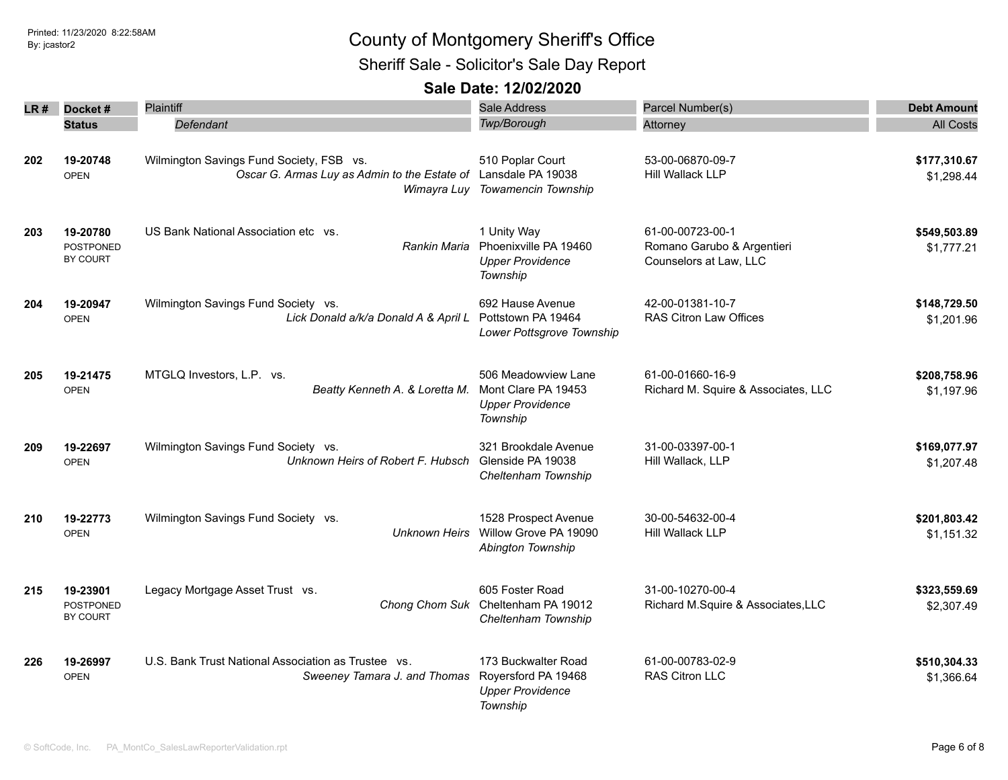Sheriff Sale - Solicitor's Sale Day Report

| LR# | Docket#                                  | <b>Plaintiff</b>                                                                                           | <b>Sale Address</b>                                                               | Parcel Number(s)                                                         | <b>Debt Amount</b>         |
|-----|------------------------------------------|------------------------------------------------------------------------------------------------------------|-----------------------------------------------------------------------------------|--------------------------------------------------------------------------|----------------------------|
|     | <b>Status</b>                            | Defendant                                                                                                  | Twp/Borough                                                                       | Attorney                                                                 | <b>All Costs</b>           |
| 202 | 19-20748<br><b>OPEN</b>                  | Wilmington Savings Fund Society, FSB vs.<br>Oscar G. Armas Luy as Admin to the Estate of Lansdale PA 19038 | 510 Poplar Court<br>Wimayra Luy Towamencin Township                               | 53-00-06870-09-7<br>Hill Wallack LLP                                     | \$177,310.67<br>\$1,298.44 |
| 203 | 19-20780<br><b>POSTPONED</b><br>BY COURT | US Bank National Association etc vs.<br>Rankin Maria                                                       | 1 Unity Way<br>Phoenixville PA 19460<br><b>Upper Providence</b><br>Township       | 61-00-00723-00-1<br>Romano Garubo & Argentieri<br>Counselors at Law, LLC | \$549,503.89<br>\$1,777.21 |
| 204 | 19-20947<br><b>OPEN</b>                  | Wilmington Savings Fund Society vs.<br>Lick Donald a/k/a Donald A & April L                                | 692 Hause Avenue<br>Pottstown PA 19464<br>Lower Pottsgrove Township               | 42-00-01381-10-7<br>RAS Citron Law Offices                               | \$148,729.50<br>\$1,201.96 |
| 205 | 19-21475<br><b>OPEN</b>                  | MTGLQ Investors, L.P. vs.<br>Beatty Kenneth A. & Loretta M.                                                | 506 Meadowview Lane<br>Mont Clare PA 19453<br><b>Upper Providence</b><br>Township | 61-00-01660-16-9<br>Richard M. Squire & Associates, LLC                  | \$208,758.96<br>\$1,197.96 |
| 209 | 19-22697<br><b>OPEN</b>                  | Wilmington Savings Fund Society vs.<br>Unknown Heirs of Robert F. Hubsch                                   | 321 Brookdale Avenue<br>Glenside PA 19038<br>Cheltenham Township                  | 31-00-03397-00-1<br>Hill Wallack, LLP                                    | \$169,077.97<br>\$1,207.48 |
| 210 | 19-22773<br><b>OPEN</b>                  | Wilmington Savings Fund Society vs.<br><b>Unknown Heirs</b>                                                | 1528 Prospect Avenue<br>Willow Grove PA 19090<br>Abington Township                | 30-00-54632-00-4<br>Hill Wallack LLP                                     | \$201,803.42<br>\$1,151.32 |
| 215 | 19-23901<br>POSTPONED<br>BY COURT        | Legacy Mortgage Asset Trust vs.                                                                            | 605 Foster Road<br>Chong Chom Suk Cheltenham PA 19012<br>Cheltenham Township      | 31-00-10270-00-4<br>Richard M.Squire & Associates, LLC                   | \$323,559.69<br>\$2,307.49 |
| 226 | 19-26997<br><b>OPEN</b>                  | U.S. Bank Trust National Association as Trustee vs.<br>Sweeney Tamara J. and Thomas                        | 173 Buckwalter Road<br>Royersford PA 19468<br><b>Upper Providence</b><br>Township | 61-00-00783-02-9<br>RAS Citron LLC                                       | \$510,304.33<br>\$1,366.64 |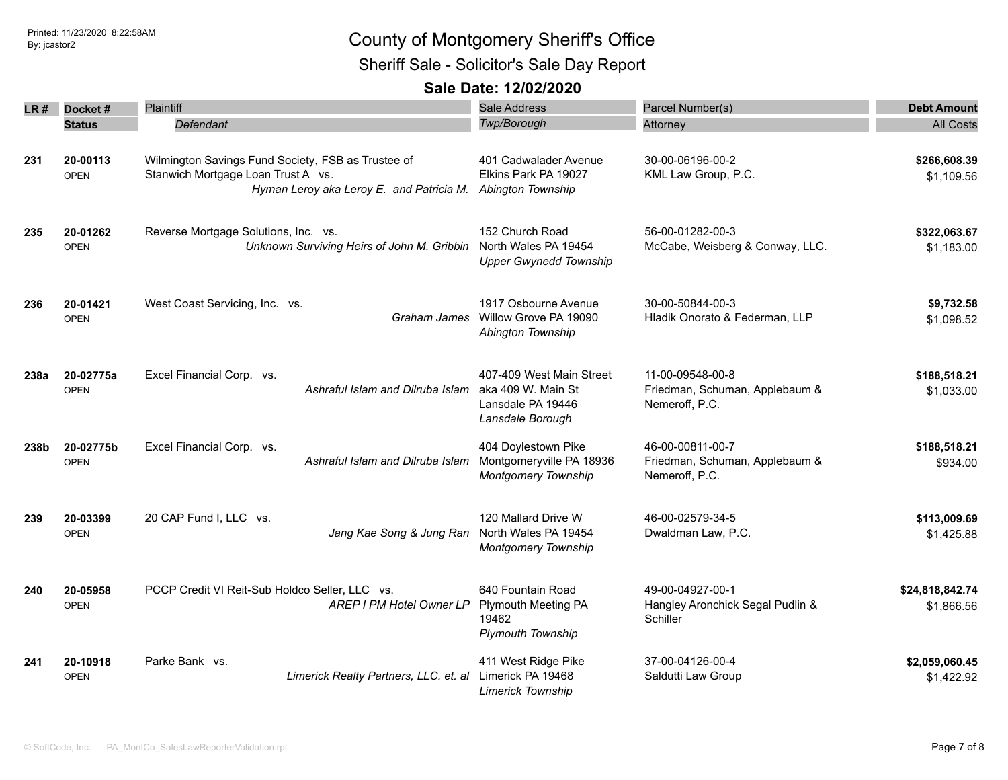Sheriff Sale - Solicitor's Sale Day Report

| LR # | Docket#                  | Plaintiff                                                                                                                            | Sale Address                                                                            | Parcel Number(s)                                                     | <b>Debt Amount</b>            |
|------|--------------------------|--------------------------------------------------------------------------------------------------------------------------------------|-----------------------------------------------------------------------------------------|----------------------------------------------------------------------|-------------------------------|
|      | <b>Status</b>            | Defendant                                                                                                                            | Twp/Borough                                                                             | Attorney                                                             | <b>All Costs</b>              |
| 231  | 20-00113<br><b>OPEN</b>  | Wilmington Savings Fund Society, FSB as Trustee of<br>Stanwich Mortgage Loan Trust A vs.<br>Hyman Leroy aka Leroy E. and Patricia M. | 401 Cadwalader Avenue<br>Elkins Park PA 19027<br>Abington Township                      | 30-00-06196-00-2<br>KML Law Group, P.C.                              | \$266,608.39<br>\$1,109.56    |
| 235  | 20-01262<br><b>OPEN</b>  | Reverse Mortgage Solutions, Inc. vs.<br>Unknown Surviving Heirs of John M. Gribbin                                                   | 152 Church Road<br>North Wales PA 19454<br><b>Upper Gwynedd Township</b>                | 56-00-01282-00-3<br>McCabe, Weisberg & Conway, LLC.                  | \$322,063.67<br>\$1,183.00    |
| 236  | 20-01421<br><b>OPEN</b>  | West Coast Servicing, Inc. vs.                                                                                                       | 1917 Osbourne Avenue<br>Graham James Willow Grove PA 19090<br>Abington Township         | 30-00-50844-00-3<br>Hladik Onorato & Federman, LLP                   | \$9,732.58<br>\$1,098.52      |
| 238a | 20-02775a<br><b>OPEN</b> | Excel Financial Corp. vs.<br>Ashraful Islam and Dilruba Islam                                                                        | 407-409 West Main Street<br>aka 409 W. Main St<br>Lansdale PA 19446<br>Lansdale Borough | 11-00-09548-00-8<br>Friedman, Schuman, Applebaum &<br>Nemeroff, P.C. | \$188,518.21<br>\$1,033.00    |
| 238b | 20-02775b<br><b>OPEN</b> | Excel Financial Corp. vs.<br>Ashraful Islam and Dilruba Islam                                                                        | 404 Doylestown Pike<br>Montgomeryville PA 18936<br><b>Montgomery Township</b>           | 46-00-00811-00-7<br>Friedman, Schuman, Applebaum &<br>Nemeroff, P.C. | \$188,518.21<br>\$934.00      |
| 239  | 20-03399<br><b>OPEN</b>  | 20 CAP Fund I, LLC vs.<br>Jang Kae Song & Jung Ran                                                                                   | 120 Mallard Drive W<br>North Wales PA 19454<br><b>Montgomery Township</b>               | 46-00-02579-34-5<br>Dwaldman Law, P.C.                               | \$113,009.69<br>\$1,425.88    |
| 240  | 20-05958<br><b>OPEN</b>  | PCCP Credit VI Reit-Sub Holdco Seller, LLC vs.<br>AREP I PM Hotel Owner LP                                                           | 640 Fountain Road<br>Plymouth Meeting PA<br>19462<br><b>Plymouth Township</b>           | 49-00-04927-00-1<br>Hangley Aronchick Segal Pudlin &<br>Schiller     | \$24,818,842.74<br>\$1,866.56 |
| 241  | 20-10918<br><b>OPEN</b>  | Parke Bank vs.<br>Limerick Realty Partners, LLC. et. al                                                                              | 411 West Ridge Pike<br>Limerick PA 19468<br><b>Limerick Township</b>                    | 37-00-04126-00-4<br>Saldutti Law Group                               | \$2,059,060.45<br>\$1,422.92  |